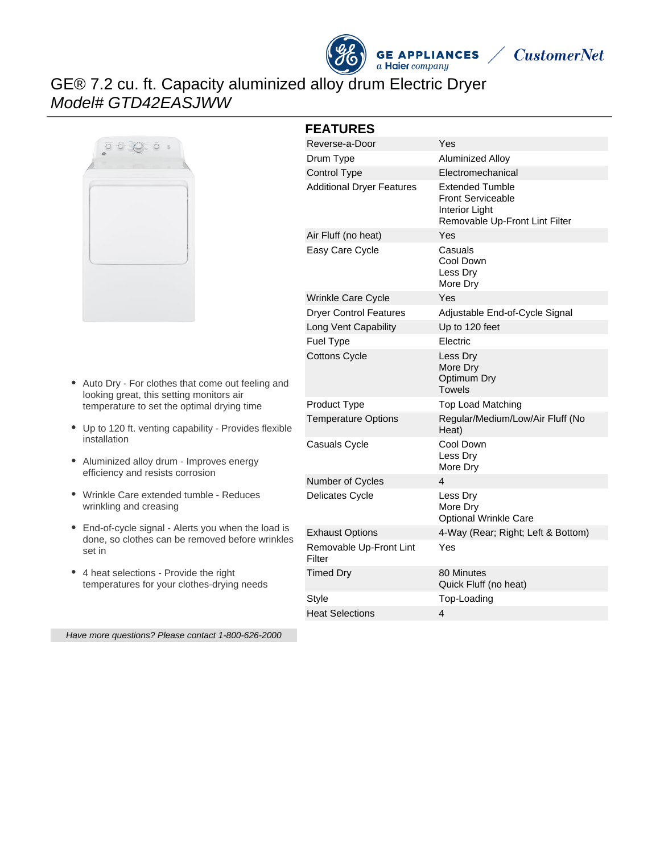



# GE® 7.2 cu. ft. Capacity aluminized alloy drum Electric Dryer Model# GTD42EASJWW



- Auto Dry For clothes that come out feeling and  $\bullet$ looking great, this setting monitors air temperature to set the optimal drying time
- Up to 120 ft. venting capability Provides flexible installation
- Aluminized alloy drum Improves energy efficiency and resists corrosion
- Wrinkle Care extended tumble Reduces wrinkling and creasing
- End-of-cycle signal Alerts you when the load is done, so clothes can be removed before wrinkles set in
- 4 heat selections Provide the right temperatures for your clothes-drying needs

**FEATURES**

| Reverse-a-Door                    | Yes                                                                                                    |
|-----------------------------------|--------------------------------------------------------------------------------------------------------|
| Drum Type                         | Aluminized Alloy                                                                                       |
| <b>Control Type</b>               | Electromechanical                                                                                      |
| <b>Additional Dryer Features</b>  | <b>Extended Tumble</b><br><b>Front Serviceable</b><br>Interior Light<br>Removable Up-Front Lint Filter |
| Air Fluff (no heat)               | Yes                                                                                                    |
| Easy Care Cycle                   | Casuals<br>Cool Down<br>Less Dry<br>More Dry                                                           |
| Wrinkle Care Cycle                | Yes                                                                                                    |
| <b>Dryer Control Features</b>     | Adjustable End-of-Cycle Signal                                                                         |
| Long Vent Capability              | Up to 120 feet                                                                                         |
| <b>Fuel Type</b>                  | Electric                                                                                               |
| <b>Cottons Cycle</b>              | Less Dry<br>More Dry<br>Optimum Dry<br>Towels                                                          |
| Product Type                      | <b>Top Load Matching</b>                                                                               |
| <b>Temperature Options</b>        | Regular/Medium/Low/Air Fluff (No<br>Heat)                                                              |
| Casuals Cycle                     | Cool Down<br>Less Dry<br>More Dry                                                                      |
| Number of Cycles                  | 4                                                                                                      |
| Delicates Cycle                   | Less Dry<br>More Dry<br><b>Optional Wrinkle Care</b>                                                   |
| <b>Exhaust Options</b>            | 4-Way (Rear; Right; Left & Bottom)                                                                     |
| Removable Up-Front Lint<br>Filter | Yes                                                                                                    |
| <b>Timed Dry</b>                  | 80 Minutes<br>Quick Fluff (no heat)                                                                    |
| Style                             | Top-Loading                                                                                            |
| <b>Heat Selections</b>            | 4                                                                                                      |

Have more questions? Please contact 1-800-626-2000